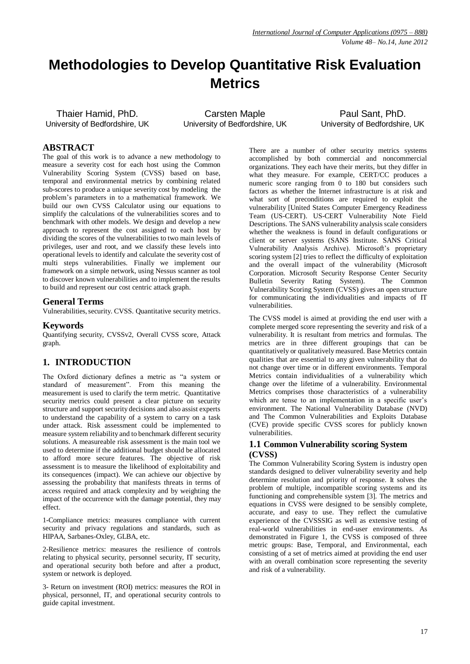# **Methodologies to Develop Quantitative Risk Evaluation Metrics**

Thaier Hamid, PhD. University of Bedfordshire, UK

Carsten Maple University of Bedfordshire, UK

Paul Sant, PhD. University of Bedfordshire, UK

# **ABSTRACT**

The goal of this work is to advance a new methodology to measure a severity cost for each host using the Common Vulnerability Scoring System (CVSS) based on base, temporal and environmental metrics by combining related sub-scores to produce a unique severity cost by modeling the problem"s parameters in to a mathematical framework. We build our own CVSS Calculator using our equations to simplify the calculations of the vulnerabilities scores and to benchmark with other models. We design and develop a new approach to represent the cost assigned to each host by dividing the scores of the vulnerabilities to two main levels of privileges, user and root, and we classify these levels into operational levels to identify and calculate the severity cost of multi steps vulnerabilities. Finally we implement our framework on a simple network, using Nessus scanner as tool to discover known vulnerabilities and to implement the results to build and represent our cost centric attack graph.

## **General Terms**

Vulnerabilities, security. CVSS. Quantitative security metrics.

# **Keywords**

Quantifying security, CVSSv2, Overall CVSS score, Attack graph.

# **1. INTRODUCTION**

The Oxford dictionary defines a metric as "a system or standard of measurement". From this meaning the measurement is used to clarify the term metric. Quantitative security metrics could present a clear picture on security structure and support security decisions and also assist experts to understand the capability of a system to carry on a task under attack. Risk assessment could be implemented to measure system reliability and to benchmark different security solutions. A measureable risk assessment is the main tool we used to determine if the additional budget should be allocated to afford more secure features. The objective of risk assessment is to measure the likelihood of exploitability and its consequences (impact). We can achieve our objective by assessing the probability that manifests threats in terms of access required and attack complexity and by weighting the impact of the occurrence with the damage potential, they may effect.

1-Compliance metrics: measures compliance with current security and privacy regulations and standards, such as HIPAA, Sarbanes-Oxley, GLBA, etc.

2-Resilience metrics: measures the resilience of controls relating to physical security, personnel security, IT security, and operational security both before and after a product, system or network is deployed.

3- Return on investment (ROI) metrics: measures the ROI in physical, personnel, IT, and operational security controls to guide capital investment.

There are a number of other security metrics systems accomplished by both commercial and noncommercial organizations. They each have their merits, but they differ in what they measure. For example, CERT/CC produces a numeric score ranging from 0 to 180 but considers such factors as whether the Internet infrastructure is at risk and what sort of preconditions are required to exploit the vulnerability [United States Computer Emergency Readiness Team (US-CERT). US-CERT Vulnerability Note Field Descriptions. The SANS vulnerability analysis scale considers whether the weakness is found in default configurations or client or server systems (SANS Institute. SANS Critical Vulnerability Analysis Archive). Microsoft's proprietary scoring system [2] tries to reflect the difficulty of exploitation and the overall impact of the vulnerability (Microsoft Corporation. Microsoft Security Response Center Security Bulletin Severity Rating System). The Common Vulnerability Scoring System (CVSS) gives an open structure for communicating the individualities and impacts of IT vulnerabilities.

The CVSS model is aimed at providing the end user with a complete merged score representing the severity and risk of a vulnerability. It is resultant from metrics and formulas. The metrics are in three different groupings that can be quantitatively or qualitatively measured. Base Metrics contain qualities that are essential to any given vulnerability that do not change over time or in different environments. Temporal Metrics contain individualities of a vulnerability which change over the lifetime of a vulnerability. Environmental Metrics comprises those characteristics of a vulnerability which are tense to an implementation in a specific user's environment. The National Vulnerability Database (NVD) and The Common Vulnerabilities and Exploits Database (CVE) provide specific CVSS scores for publicly known vulnerabilities.

## **1.1 Common Vulnerability scoring System (CVSS)**

The Common Vulnerability Scoring System is industry open standards designed to deliver vulnerability severity and help determine resolution and priority of response. It solves the problem of multiple, incompatible scoring systems and its functioning and comprehensible system [3]. The metrics and equations in CVSS were designed to be sensibly complete, accurate, and easy to use. They reflect the cumulative experience of the CVSSSIG as well as extensive testing of real-world vulnerabilities in end-user environments. As demonstrated in Figure 1, the CVSS is composed of three metric groups: Base, Temporal, and Environmental, each consisting of a set of metrics aimed at providing the end user with an overall combination score representing the severity and risk of a vulnerability.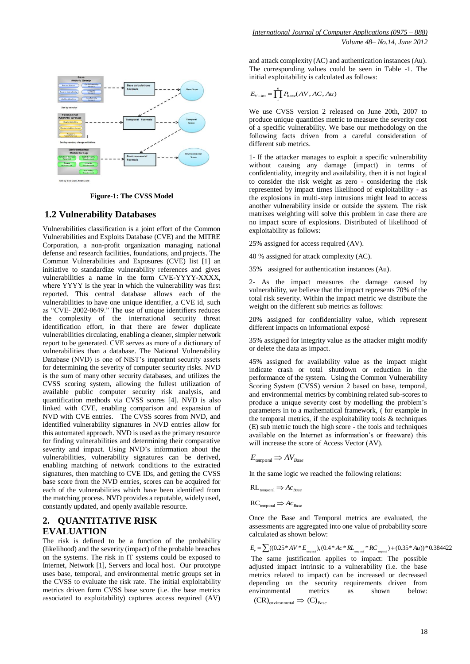

**Figure-1: The CVSS Model**

# **1.2 Vulnerability Databases**

Vulnerabilities classification is a joint effort of the Common Vulnerabilities and Exploits Database (CVE) and the MITRE Corporation, a non-profit organization managing national defense and research facilities, foundations, and projects. The Common Vulnerabilities and Exposures (CVE) list [1] an initiative to standardize vulnerability references and gives vulnerabilities a name in the form CVE-YYYY-XXXX, where YYYY is the year in which the vulnerability was first reported. This central database allows each of the vulnerabilities to have one unique identifier, a CVE id, such as "CVE- 2002-0649." The use of unique identifiers reduces the complexity of the international security threat identification effort, in that there are fewer duplicate vulnerabilities circulating, enabling a cleaner, simpler network report to be generated. CVE serves as more of a dictionary of vulnerabilities than a database. The National Vulnerability Database (NVD) is one of NIST"s important security assets for determining the severity of computer security risks. NVD is the sum of many other security databases, and utilizes the CVSS scoring system, allowing the fullest utilization of available public computer security risk analysis, and quantification methods via CVSS scores [4]. NVD is also linked with CVE, enabling comparison and expansion of NVD with CVE entries. The CVSS scores from NVD, and identified vulnerability signatures in NVD entries allow for this automated approach. NVD is used as the primary resource for finding vulnerabilities and determining their comparative severity and impact. Using NVD's information about the vulnerabilities, vulnerability signatures can be derived, enabling matching of network conditions to the extracted signatures, then matching to CVE IDs, and getting the CVSS base score from the NVD entries, scores can be acquired for each of the vulnerabilities which have been identified from the matching process. NVD provides a reputable, widely used, constantly updated, and openly available resource.

# **2. QUANTITATIVE RISK EVALUATION**

The risk is defined to be a function of the probability (likelihood) and the severity (impact) of the probable breaches on the systems. The risk in IT systems could be exposed to Internet, Network [1], Servers and local host. Our prototype uses base, temporal, and environmental metric groups set in the CVSS to evaluate the risk rate. The initial exploitability metrics driven form CVSS base score (i.e. the base metrics associated to exploitability) captures access required (AV)

and attack complexity (AC) and authentication instances (Au). The corresponding values could be seen in Table -1. The initial exploitability is calculated as follows:

$$
E_{V-\text{int}} = \prod_{1}^{n} P_{base}(AV, AC, Au)
$$

We use CVSS version 2 released on June 20th, 2007 to produce unique quantities metric to measure the severity cost of a specific vulnerability. We base our methodology on the following facts driven from a careful consideration of different sub metrics.

1- If the attacker manages to exploit a specific vulnerability without causing any damage (impact) in terms of confidentiality, integrity and availability, then it is not logical to consider the risk weight as zero - considering the risk represented by impact times likelihood of exploitability - as the explosions in multi-step intrusions might lead to access another vulnerability inside or outside the system. The risk matrixes weighting will solve this problem in case there are no impact score of explosions. Distributed of likelihood of exploitability as follows:

25% assigned for access required (AV).

40 % assigned for attack complexity (AC).

35% assigned for authentication instances (Au).

2- As the impact measures the damage caused by vulnerability, we believe that the impact represents 70% of the total risk severity. Within the impact metric we distribute the weight on the different sub metrics as follows:

20% assigned for confidentiality value, which represent different impacts on informational exposé

35% assigned for integrity value as the attacker might modify or delete the data as impact.

45% assigned for availability value as the impact might indicate crash or total shutdown or reduction in the performance of the system. Using the Common Vulnerability Scoring System (CVSS) version 2 based on base, temporal, and environmental metrics by combining related sub-scores to produce a unique severity cost by modelling the problem"s parameters in to a mathematical framework, ( for example in the temporal metrics, if the exploitability tools  $\&$  techniques (E) sub metric touch the high score - the tools and techniques available on the Internet as information's or freeware) this will increase the score of Access Vector (AV).

 $E_{\text{temporal}} \Rightarrow AV_{\text{Base}}$ 

In the same logic we reached the following relations:

 $RL_{temporal} \Rightarrow Ac_{Base}$ 

 $RC_{temporal} \Rightarrow AC_{Base}$ 

Once the Base and Temporal metrics are evaluated, the assessments are aggregated into one value of probability score calculated as shown below:

 $E_v = \sum_i ((0.25 * AV * E_{\text{temporal}}), (0.4 * AC * RL_{\text{temporal}} * RC_{\text{temporal}}) + (0.35 * Au)) * 0.384422$ The same justification applies to impact: The possible adjusted impact intrinsic to a vulnerability (i.e. the base metrics related to impact) can be increased or decreased depending on the security requirements driven from environmental metrics as shown below:  $(CR)$ <sub>environmental</sub>  $\Rightarrow$   $(C)$ <sub>*Base*</sub>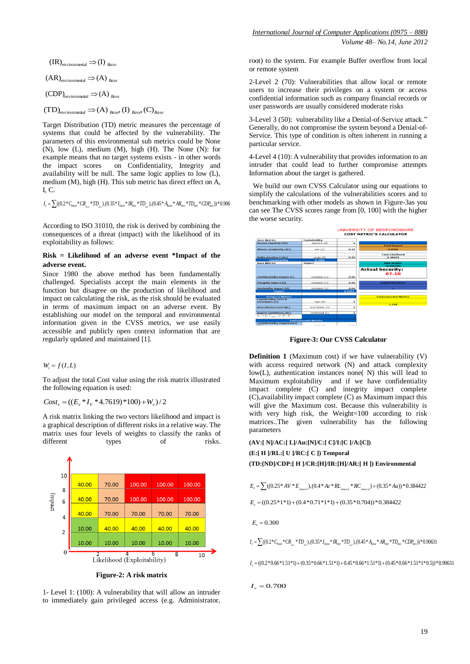$$
(\text{IR})_{\text{environmental}} \Rightarrow (\text{I})_{\text{Base}}
$$

$$
(\text{AR})_{\text{environmental}} \Rightarrow (\text{A})_{\text{Base}}
$$

$$
(CDP)_{\text{environmental}} \Rightarrow (A)_{\text{Base}}
$$

 $(TD)$ <sub>environmental</sub>  $\Rightarrow$  (A)  $_{Base}$ , (I)  $_{Base}$ , (C)  $_{Base}$ 

Target Distribution (TD) metric measures the percentage of systems that could be affected by the vulnerability. The parameters of this environmental sub metrics could be None  $(N)$ , low  $(L)$ , medium  $(M)$ , high  $(H)$ . The None  $(N)$ : for example means that no target systems exists - in other words the impact scores on Confidentiality, Integrity and availability will be null. The same logic applies to low (L), medium (M), high (H). This sub metric has direct effect on A, I, C.

 $I_{\rm v} = \sum ((0.2 * C_{\rm{base}} * CR_{\rm{av}} * TD_{\rm{av}}), (0.35 * I_{\rm{base}} * IR_{\rm{env}} * TD_{\rm{av}}), (0.45 * A_{\rm{base}} * AR_{\rm{env}} * TD_{\rm{env}} * CD_{\rm{env}})) * 0.906$ 

According to ISO 31010, the risk is derived by combining the consequences of a threat (impact) with the likelihood of its exploitability as follows:

#### **Risk = Likelihood of an adverse event \*Impact of the adverse event.**

Since 1980 the above method has been fundamentally challenged. Specialists accept the main elements in the function but disagree on the production of likelihood and impact on calculating the risk, as the risk should be evaluated in terms of maximum impact on an adverse event. By establishing our model on the temporal and environmental information given in the CVSS metrics, we use easily accessible and publicly open context information that are regularly updated and maintained [1].

## $W_i = f(I, L)$

To adjust the total Cost value using the risk matrix illustrated the following equation is used:

$$
Cost_{v} = ((E_{v} * I_{v} * 4.7619) * 100) + W_{v})/2
$$

A risk matrix linking the two vectors likelihood and impact is a graphical description of different risks in a relative way. The matrix uses four levels of weights to classify the ranks of different types of risks.



**Figure-2: A risk matrix**

1- Level 1: (100): A vulnerability that will allow an intruder to immediately gain privileged access (e.g. Administrator, root) to the system. For example Buffer overflow from local or remote system

2-Level 2 (70): Vulnerabilities that allow local or remote users to increase their privileges on a system or access confidential information such as company financial records or user passwords are usually considered moderate risks

3-Level 3 (50): vulnerability like a Denial-of-Service attack." Generally, do not compromise the system beyond a Denial-of-Service. This type of condition is often inherent in running a particular service.

4-Level 4 (10): A vulnerability that provides information to an intruder that could lead to further compromise attempts Information about the target is gathered.

 We build our own CVSS Calculator using our equations to simplify the calculations of the vulnerabilities scores and to benchmarking with other models as shown in Figure-3as you can see The CVSS scores range from [0, 100] with the higher the worse security.



**Figure-3: Our CVSS Calculator**

**Definition 1** (Maximum cost) if we have vulnerability (V) with access required network (N) and attack complexity low(L), authentication instances none( N) this will lead to Maximum exploitability and if we have confidentiality impact complete (C) and integrity impact complete (C),availability impact complete (C) as Maximum impact this will give the Maximum cost. Because this vulnerability is with very high risk, the Weight=100 according to risk matrices..The given vulnerability has the following parameters

**(AV:[ N]/AC:[ L]/Au:[N]/C:[ C]/I:[C ]/A:[C]) (E:[ H ]/RL:[ U ]/RC:[ C ]) Temporal (TD:[ND]/CDP:[ H ]/CR:[H]/IR:[H]/AR:[ H ]) Environmental**

 $E_v = \sum_i ((0.25 * AV * E_{\text{temporal}}), (0.4 * Ac * RL_{\text{temporal}} * RC_{\text{temporal}}) + (0.35 * Au)) * 0.384422$ 

 $E_v = ((0.25 * 1 * 1) + (0.4 * 0.71 * 1 * 1) + (0.35 * 0.704)) * 0.384422$ 

 $E_v = 0.300$ 

 $I_v = \sum ((0.2 * C_{base} * CR_{\text{avis}} * TD_{\text{avis}}), (0.35 * I_{base} * IR_{\text{env}} * TD_{\text{avis}}), (0.45 * A_{base} * AR_{\text{env}} * TD_{\text{env}} * CD_{\text{env}})) * 0.90631$ 

 $I_{r} = ((0.2*0.66*1.51*1) + (0.35*0.66*1.51*1) + 0.45*0.66*1.51*1) + (0.45*0.66*1.51*1*0.5)) *0.90631$ 

$$
I_v = 0.700
$$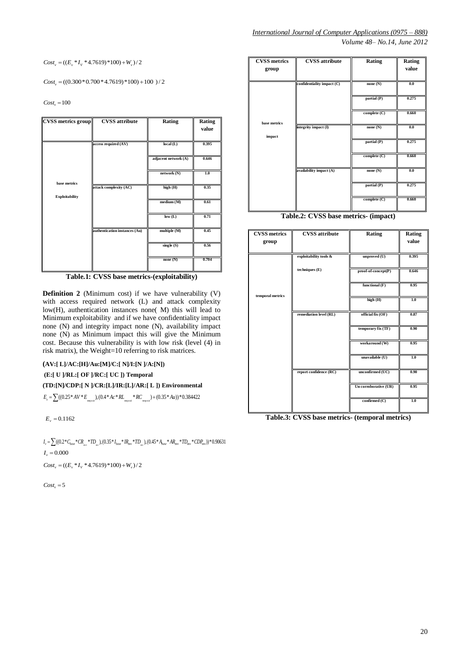$=((E_v * I_v * 4.7619) * 100) + W_v)/2$ 

| <b>CVSS</b> metrics group | <b>CVSS</b> attribute         | Rating               | Rating<br>value |
|---------------------------|-------------------------------|----------------------|-----------------|
|                           | access required (AV)          | local(L)             | 0.395           |
|                           |                               | adjacent network (A) | 0.646           |
| base metrics              |                               | network (N)          | 1.0             |
| <b>Exploitability</b>     | attack complexity (AC)        | high (H)             | 0.35            |
|                           |                               | medium (M)           | 0.61            |
|                           |                               | low(L)               | 0.71            |
|                           | authentication instances (Au) | multiple (M)         | 0.45            |
|                           |                               | single(S)            | 0.56            |
|                           |                               | none $(N)$           | 0.704           |

**Table.1: CVSS base metrics-(exploitability)**

| <b>CVSS metrics</b><br>group | <b>CVSS</b> attribute      | Rating       | Rating<br>value |
|------------------------------|----------------------------|--------------|-----------------|
|                              | confidentiality impact (C) | none $(N)$   | 0.0             |
|                              |                            | partial (P)  | 0.275           |
| base metrics                 |                            | complete (C) | 0.660           |
| impact                       | integrity impact (I)       | none $(N)$   | 0.0             |
|                              |                            | partial (P)  | 0.275           |
|                              |                            | complete (C) | 0.660           |
|                              | availability impact (A)    | none $(N)$   | 0.0             |
|                              |                            | partial (P)  | 0.275           |
|                              |                            | complete (C) | 0.660           |

**Table.2: CVSS base metrics- (impact)**

| $Cost_v = ((E_v * I_v * 4.7619) * 100) + W_v)/2$ |                                                                                                                                                         |                      |                 | <b>CVSS metrics</b><br>group | <b>CVSS</b> attribute                          | Rating                | Rating<br>value |
|--------------------------------------------------|---------------------------------------------------------------------------------------------------------------------------------------------------------|----------------------|-----------------|------------------------------|------------------------------------------------|-----------------------|-----------------|
|                                                  | $Cost_v = ((0.300 * 0.700 * 4.7619) * 100) + 100) / 2$                                                                                                  |                      |                 |                              | confidentiality impact (C)                     | none $(N)$            | 0.0             |
| $Cost_v = 100$                                   |                                                                                                                                                         |                      |                 |                              |                                                | partial (P)           | 0.275           |
|                                                  |                                                                                                                                                         |                      |                 |                              |                                                | complete (C)          | 0.660           |
| <b>CVSS metrics group</b>                        | <b>CVSS</b> attribute                                                                                                                                   | Rating               | Rating<br>value | base metrics<br>impact       | integrity impact (I)                           | none (N)              | 0.0             |
|                                                  | access required (AV)                                                                                                                                    | local(L)             | 0.395           |                              |                                                | partial(P)            | 0.275           |
|                                                  |                                                                                                                                                         | adjacent network (A) | 0.646           |                              |                                                | complete (C)          | 0.660           |
|                                                  |                                                                                                                                                         | network(N)           | 1.0             |                              | availability impact (A)                        | none $(N)$            | 0.0             |
| base metrics                                     | attack complexity (AC)                                                                                                                                  | high (H)             | 0.35            |                              |                                                | partial (P)           | 0.275           |
| <b>Exploitability</b>                            |                                                                                                                                                         | medium (M)           | 0.61            |                              |                                                | complete (C)          | 0.660           |
|                                                  |                                                                                                                                                         | low(L)               | 0.71            |                              | Table.2: CVSS base metrics- (impact)           |                       |                 |
|                                                  | authentication instances (Au)                                                                                                                           | multiple (M)         | 0.45            | <b>CVSS</b> metrics          | <b>CVSS</b> attribute                          | Rating                | Rating          |
|                                                  |                                                                                                                                                         | single(S)            | 0.56            | group                        |                                                |                       | value           |
|                                                  |                                                                                                                                                         | none $(N)$           | 0.704           |                              | exploitability tools &                         | unproved (U)          | 0.395           |
|                                                  | Table.1: CVSS base metrics-(exploitability)                                                                                                             |                      |                 |                              | techniques (E)                                 | proof-of-concept(P)   | 0.646           |
|                                                  | <b>Definition 2</b> (Minimum cost) if we have vulnerability (V)                                                                                         |                      |                 |                              |                                                | functional $(F)$      | 0.95            |
|                                                  | with access required network (L) and attack complexity                                                                                                  |                      |                 | temporal metrics             |                                                | high (H)              | 1.0             |
|                                                  | low(H), authentication instances none( M) this will lead to<br>Minimum exploitability and if we have confidentiality impact                             |                      |                 |                              | remediation level (RL)                         | official fix (OF)     | 0.87            |
|                                                  | none (N) and integrity impact none (N), availability impact<br>none (N) as Minimum impact this will give the Minimum                                    |                      |                 |                              |                                                | temporary fix (TF)    | 0.90            |
|                                                  | cost. Because this vulnerability is with low risk (level (4) in<br>risk matrix), the Weight=10 referring to risk matrices.                              |                      |                 |                              |                                                | workaround (W)        | 0.95            |
|                                                  | (AV:[L]/AC:[H]/Au:[M]/C:[N]/I:[N ]/A:[N])                                                                                                               |                      |                 |                              |                                                | unavailable (U)       | 1.0             |
|                                                  | (E:[ U ]/RL:[ OF ]/RC:[ UC ]) Temporal                                                                                                                  |                      |                 |                              | report confidence (RC)                         | unconfirmed (UC)      | 0.90            |
|                                                  | (TD:[N]/CDP:[ N ]/CR:[L]/IR:[L]/AR:[ L ]) Environmental                                                                                                 |                      |                 |                              |                                                | Un corroborative (UR) | 0.95            |
|                                                  | $E_v = \sum ((0.25 * AV * E_{_{\text{unbound}}}), (0.4 * Ac * RL_{_{\text{unbound}}} * RC_{_{\text{unbound}}}) + (0.35 * Au)) * 0.384422$               |                      |                 |                              |                                                | confirmed (C)         | 1.0             |
| $E_v = 0.1162$                                   |                                                                                                                                                         |                      |                 |                              | Table.3: CVSS base metrics- (temporal metrics) |                       |                 |
| $I_v = 0.000$                                    | $I_v = \sum((0.2 * C_{base} * CR_{size} * TD_{n}), (0.35 * I_{base} * IR_{env} * TD_{n}), (0.45 * A_{base} * AR_{env} * TD_{env} * CD_{env}) * 0.90631$ |                      |                 |                              |                                                |                       |                 |
| $Cost_v = ((E_v * I_v * 4.7619) * 100) + W_v)/2$ |                                                                                                                                                         |                      |                 |                              |                                                |                       |                 |
| $Cost_v = 5$                                     |                                                                                                                                                         |                      |                 |                              |                                                |                       |                 |
|                                                  |                                                                                                                                                         |                      |                 |                              |                                                |                       |                 |
|                                                  |                                                                                                                                                         |                      |                 |                              |                                                |                       |                 |
|                                                  |                                                                                                                                                         |                      |                 |                              |                                                |                       |                 |
|                                                  |                                                                                                                                                         |                      |                 |                              |                                                |                       |                 |
|                                                  |                                                                                                                                                         |                      |                 |                              |                                                |                       |                 |
|                                                  |                                                                                                                                                         |                      |                 |                              |                                                |                       |                 |
|                                                  |                                                                                                                                                         |                      |                 |                              |                                                |                       |                 |
|                                                  |                                                                                                                                                         |                      |                 |                              |                                                |                       |                 |
|                                                  |                                                                                                                                                         |                      |                 |                              |                                                |                       |                 |
|                                                  |                                                                                                                                                         |                      |                 |                              |                                                |                       |                 |
|                                                  |                                                                                                                                                         |                      |                 |                              |                                                |                       | 20              |

**Table.3: CVSS base metrics- (temporal metrics)**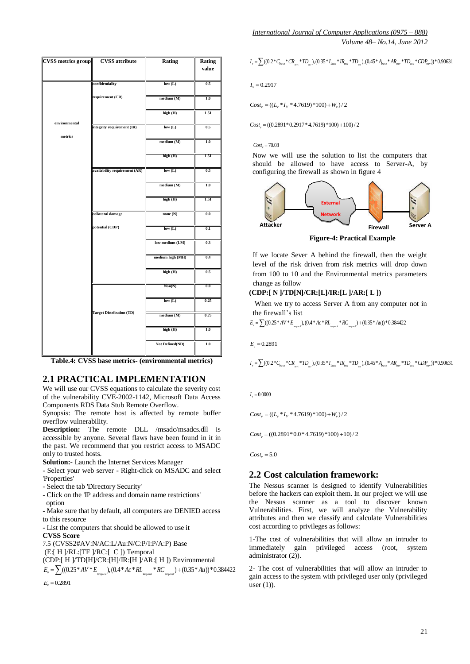| <b>CVSS metrics group</b> | <b>CVSS</b> attribute                                                                                                               | Rating           | Rating<br>value | $I_v = \sum ((0.2 * C_{base} * CR_{mix}) * TD_{av})$ , $(0.35 * I_{base} * IR_{env} * TD_{av})$ , $(0.45 * A_{base} * AR_{env} * TD_{env}) * CDP_{env}) * 0.90631$ |
|---------------------------|-------------------------------------------------------------------------------------------------------------------------------------|------------------|-----------------|--------------------------------------------------------------------------------------------------------------------------------------------------------------------|
|                           | confidentiality                                                                                                                     | low(L)           | 0.5             | $I_v = 0.2917$                                                                                                                                                     |
|                           | requirement (CR)                                                                                                                    | medium (M)       | 1.0             | $Cost_v = ((L_* * I_v * 4.7619) * 100) + W_v)/2$                                                                                                                   |
|                           |                                                                                                                                     | high (H)         | 1.51            |                                                                                                                                                                    |
| environmental             | integrity requirement (IR)                                                                                                          | low(L)           | 0.5             | $Costv = ((0.2891*0.2917*4.7619)*100)+100)/2$                                                                                                                      |
| metrics                   |                                                                                                                                     | medium (M)       | 1.0             | $Cost_v = 70.08$                                                                                                                                                   |
|                           |                                                                                                                                     | high (H)         | 1.51            | Now we will use the solution to list the computers that<br>should be allowed to have access to Server-A, by                                                        |
|                           | availability requirement (AR)                                                                                                       | low(L)           | 0.5             | configuring the firewall as shown in figure 4                                                                                                                      |
|                           |                                                                                                                                     | medium (M)       | 1.0             |                                                                                                                                                                    |
|                           |                                                                                                                                     | high (H)         | 1.51            | <b>External</b>                                                                                                                                                    |
|                           | collateral damage                                                                                                                   | none $(N)$       | 0.0             | Network<br><b>Attacker</b><br><b>Server A</b>                                                                                                                      |
|                           | potential (CDP)                                                                                                                     | low(L)           | 0.1             | Firewall<br><b>Figure-4: Practical Example</b>                                                                                                                     |
|                           |                                                                                                                                     | low medium (LM)  | 0.3             |                                                                                                                                                                    |
|                           |                                                                                                                                     | medium high (MH) | 0.4             | If we locate Sever A behind the firewall, then the weight<br>level of the risk driven from risk metrics will drop down                                             |
|                           |                                                                                                                                     | high (H)         | 0.5             | from 100 to 10 and the Environmental metrics parameters                                                                                                            |
|                           |                                                                                                                                     | Non(N)           | 0.0             | change as follow<br>(CDP:[ N ]/TD[N]/CR:[L]/IR:[L ]/AR:[ L ])                                                                                                      |
|                           |                                                                                                                                     | low(L)           | 0.25            | When we try to access Server A from any computer not in                                                                                                            |
|                           | <b>Target Distribution (TD)</b>                                                                                                     | medium (M)       | 0.75            | the firewall's list<br>$E_v = \sum ((0.25 * AV * E_{\text{smooth}}), (0.4 * AC * RL_{\text{smooth}} * RC_{\text{smooth}}) + (0.35 * Au)) * 0.384422$               |
|                           |                                                                                                                                     | high (H)         | 1.0             |                                                                                                                                                                    |
|                           |                                                                                                                                     | Not Defined(ND)  | 1.0             | $E_v = 0.2891$                                                                                                                                                     |
|                           | Table.4: CVSS base metrics- (environmental metrics)                                                                                 |                  |                 | $I_v = \sum((0.2 * C_{base} * CR_{mix} * TD_{uv})(0.35 * I_{base} * IR_{env} * TD_{uv})(0.45 * A_{base} * AR_{env} * TD_{env}) * CDP_{env}) * 0.90631$             |
|                           | <b>2.1 PRACTICAL IMPLEMENTATION</b>                                                                                                 |                  |                 |                                                                                                                                                                    |
|                           | We will use our CVSS equations to calculate the severity cost<br>of the vulnerability CVE-2002-1142, Microsoft Data Access          |                  |                 | $I_v = 0.0000$                                                                                                                                                     |
|                           | Components RDS Data Stub Remote Overflow.                                                                                           |                  |                 |                                                                                                                                                                    |
| overflow vulnerability.   | Synopsis: The remote host is affected by remote buffer                                                                              |                  |                 | $Cost_v = ((L_v * I_v * 4.7619) * 100) + W_v)/2$                                                                                                                   |
|                           | <b>Description:</b> The remote DLL /msadc/msadcs.dll is<br>accessible by anyone. Several flaws have been found in it in             |                  |                 | $Cost_v = ((0.2891*0.0*4.7619)*100)+10)/2$                                                                                                                         |
|                           | the past. We recommend that you restrict access to MSADC                                                                            |                  |                 |                                                                                                                                                                    |
| only to trusted hosts.    | <b>Solution:</b> Launch the Internet Services Manager                                                                               |                  |                 | $Cost_v = 5.0$                                                                                                                                                     |
| 'Properties'              | - Select your web server - Right-click on MSADC and select                                                                          |                  |                 | 2.2 Cost calculation framework:                                                                                                                                    |
|                           | - Select the tab 'Directory Security'                                                                                               |                  |                 | The Nessus scanner is designed to identify Vulnerabilities                                                                                                         |
| option                    | - Click on the 'IP address and domain name restrictions'                                                                            |                  |                 | before the hackers can exploit them. In our project we will use<br>the Nessus scanner as a tool to discover known                                                  |
| to this resource          | - Make sure that by default, all computers are DENIED access                                                                        |                  |                 | Vulnerabilities. First, we will analyze the Vulnerability<br>attributes and then we classify and calculate Vulnerabilities                                         |
| <b>CVSS Score</b>         | - List the computers that should be allowed to use it                                                                               |                  |                 | cost according to privileges as follows:                                                                                                                           |
|                           | 7.5 (CVSS2#AV:N/AC:L/Au:N/C:P/I:P/A:P) Base                                                                                         |                  |                 | 1-The cost of vulnerabilities that will allow an intruder to<br>immediately<br>gain<br>privileged<br>access<br>(root,<br>system                                    |
|                           | (E:[ H ]/RL:[TF ]/RC:[ C ]) Temporal<br>(CDP:[ H ]/TD[H]/CR:[H]/IR:[H ]/AR:[ H ]) Environmental                                     |                  |                 | administrator (2)).                                                                                                                                                |
|                           | $E_v = \sum ((0.25 * AV * E_{\text{temporal}}), (0.4 * Ac * RL_{\text{temporal}} * RC_{\text{temporal}}) + (0.35 * Au)) * 0.384422$ |                  |                 | 2- The cost of vulnerabilities that will allow an intruder to                                                                                                      |
| $E_v = 0.2891$            |                                                                                                                                     |                  |                 | gain access to the system with privileged user only (privileged<br>n <sub>er</sub> (1)                                                                             |

**Table.4: CVSS base metrics- (environmental metrics)**

## **2.1 PRACTICAL IMPLEMENTATION**

- Select the tab 'Directory Security'
- Click on the 'IP address and domain name restrictions' option

*International Journal of Computer Applications (0975 – 888) Volume 48– No.14, June 2012*

 $I_v = \sum ( (0.2 * C_{base} * CR_{avi} * TD_{av}), (0.35 * I_{base} * IR_{env} * TD_{av}), (0.45 * A_{base} * AR_{env} * TD_{env} * CDP_{env})$ 



#### **(CDP:[ N ]/TD[N]/CR:[L]/IR:[L ]/AR:[ L ])**

# **2.2 Cost calculation framework:**

2- The cost of vulnerabilities that will allow an intruder to gain access to the system with privileged user only (privileged user  $(1)$ ).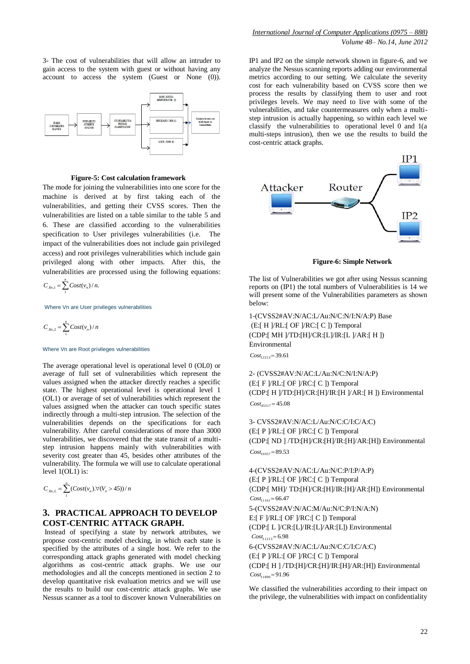3- The cost of vulnerabilities that will allow an intruder to gain access to the system with guest or without having any account to access the system (Guest or None (0)).



#### **Figure-5: Cost calculation framework**

The mode for joining the vulnerabilities into one score for the machine is derived at by first taking each of the vulnerabilities, and getting their CVSS scores. Then the vulnerabilities are listed on a table similar to the table 5 and 6. These are classified according to the vulnerabilities specification to User privileges vulnerabilities (i.e. The impact of the vulnerabilities does not include gain privileged access) and root privileges vulnerabilities which include gain privileged along with other impacts. After this, the vulnerabilities are processed using the following equations:

$$
C_{X_{n,1}} = \sum_{1}^{n} Cost(v_n) / n.
$$

Where Vn are User privileges vulnerabilities

$$
C_{x_n,2} = \sum_{n=1}^{n} Cost(v_n) / n
$$

#### Where Vn are Root privileges vulnerabilities

The average operational level is operational level 0 (OL0) or average of full set of vulnerabilities which represent the values assigned when the attacker directly reaches a specific state. The highest operational level is operational level 1 (OL1) or average of set of vulnerabilities which represent the values assigned when the attacker can touch specific states indirectly through a multi-step intrusion. The selection of the vulnerabilities depends on the specifications for each vulnerability. After careful considerations of more than 3000 vulnerabilities, we discovered that the state transit of a multistep intrusion happens mainly with vulnerabilities with severity cost greater than 45, besides other attributes of the vulnerability. The formula we will use to calculate operational level 1(OL1) is:

$$
C_{x_n,L} = \sum_{1}^{n} \left( Cost(v_n) . \forall (V_n > 45) \right) / n
$$

## **3. PRACTICAL APPROACH TO DEVELOP COST-CENTRIC ATTACK GRAPH.**

Instead of specifying a state by network attributes, we propose cost-centric model checking, in which each state is specified by the attributes of a single host. We refer to the corresponding attack graphs generated with model checking algorithms as cost-centric attack graphs. We use our methodologies and all the concepts mentioned in section 2 to develop quantitative risk evaluation metrics and we will use the results to build our cost-centric attack graphs. We use Nessus scanner as a tool to discover known Vulnerabilities on IP1 and IP2 on the simple network shown in figure-6, and we analyze the Nessus scanning reports adding our environmental metrics according to our setting. We calculate the severity cost for each vulnerability based on CVSS score then we process the results by classifying them to user and root privileges levels. We may need to live with some of the vulnerabilities, and take countermeasures only when a multistep intrusion is actually happening, so within each level we classify the vulnerabilities to operational level 0 and 1(a multi-steps intrusion), then we use the results to build the cost-centric attack graphs.



**Figure-6: Simple Network**

The list of Vulnerabilities we got after using Nessus scanning reports on (IP1) the total numbers of Vulnerabilities is 14 we will present some of the Vulnerabilities parameters as shown below:

1-(CVSS2#AV:N/AC:L/Au:N/C:N/I:N/A:P) Base  $(E: [H]/RL: [OF]/RC: [C])$  Temporal (CDP:[ MH ]/TD:[H]/CR:[L]/IR:[L ]/AR:[ H ]) Environmental

 $Cost_{12213} = 39.61$ 

2- (CVSS2#AV:N/AC:L/Au:N/C:N/I:N/A:P) (E:[ F ]/RL:[ OF ]/RC:[ C ]) Temporal (CDP:[ H ]/TD:[H]/CR:[H]/IR:[H ]/AR:[ H ]) Environmental  $Cost_{45517} = 45.08$ 

3- CVSS2#AV:N/AC:L/Au:N/C:C/I:C/A:C)  $(E: [P]/RL: [OF]/RC: [C])$  Temporal (CDP:[ ND ] /TD:[H]/CR:[H]/IR:[H]/AR:[H]) Environmental  $Cost_{10357} = 89.53$ 

4-(CVSS2#AV:N/AC:L/Au:N/C:P/I:P/A:P)  $(E: F | P)$ RL: $[OF | RC: C]$  Temporal (CDP:[ MH]/ TD:[H]/CR:[H]/IR:[H]/AR:[H]) Environmental  $Cost_{11161} = 66.47$ 5-(CVSS2#AV:N/AC:M/Au:N/C:P/I:N/A:N) E: $[$  F  $]/RL$ : $[$  OF  $]/RC$ : $[$  C  $]$  $)$  Temporal (CDP:[ L ]/CR:[L]/IR:[L]/AR:[L]) Environmental  $Cost_{11213} = 6.98$ 6-(CVSS2#AV:N/AC:L/Au:N/C:C/I:C/A:C) (E:[ P ]/RL:[ OF ]/RC:[ C ]) Temporal (CDP:[ H ] /TD:[H]/CR:[H]/IR:[H]/AR:[H]) Environmental  $Cost_{11890} = 91.96$ 

We classified the vulnerabilities according to their impact on the privilege, the vulnerabilities with impact on confidentiality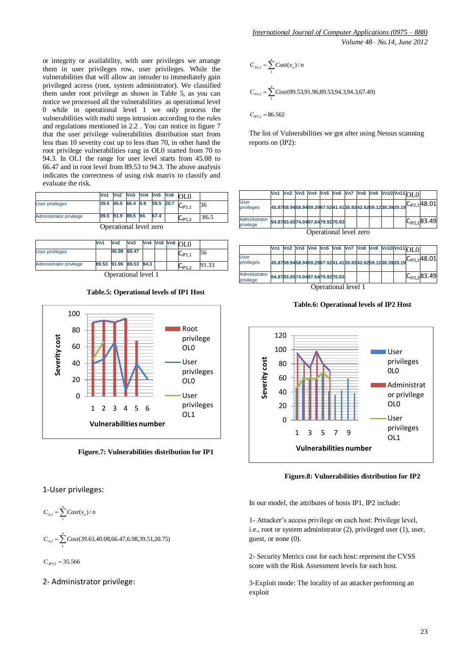or integrity or availability, with user privileges we arrange them in user privileges row, user privileges. While the vulnerabilities that will allow an intruder to immediately gain privileged access (root, system administrator). We classified them under root privilege as shown in Table 5, as you can notice we processed all the vulnerabilities as operational level 0 while in operational level 1 we only process the vulnerabilities with multi steps intrusion according to the rules and regulations mentioned in 2.2 . You can notice in figure 7 that the user privilege vulnerabilities distribution start from less than 10 severity cost up to less than 70, in other hand the root privilege vulnerabilities rang in OL0 started from 70 to 94.3. In OL1 the range for user level starts from 45.08 to 66.47 and in root level from 89.53 to 94.3. The above analysis indicates the correctness of using risk matrix to classify and evaluate the risk.

|                         | Vn1  |                    |  |                  | . $\sqrt{3}$ $\sqrt{2}$ $\sqrt{3}$ $\sqrt{2}$ $\sqrt{3}$ $\sqrt{4}$ $\sqrt{4}$ $\sqrt{5}$ $\sqrt{5}$ $\sqrt{2}$ $\sqrt{5}$ $\sqrt{2}$ $\sqrt{2}$ $\sqrt{2}$ $\sqrt{2}$ $\sqrt{2}$ $\sqrt{2}$ $\sqrt{2}$ $\sqrt{2}$ $\sqrt{2}$ $\sqrt{2}$ $\sqrt{2}$ $\sqrt{2}$ $\sqrt{2}$ $\sqrt{2}$ $\sqrt{2}$ $\sqrt{2}$ $\sqrt$ |      |
|-------------------------|------|--------------------|--|------------------|--------------------------------------------------------------------------------------------------------------------------------------------------------------------------------------------------------------------------------------------------------------------------------------------------------------------|------|
| User privileges         | 39.6 | 45.0 66.4 6.9      |  | 39.5 20.7 $\sim$ | $U_{\text{IP1.1}}$                                                                                                                                                                                                                                                                                                 | 36   |
| Administrator privilege |      | 89.5 91.9 89.5 94. |  | 67.4             | $U_{\text{IP1.2}}$                                                                                                                                                                                                                                                                                                 | 86.5 |

| Operational level zero |  |  |
|------------------------|--|--|
|------------------------|--|--|

| 45.08 66.47<br><b>User privileges</b>             |  |  |                    | 56    |
|---------------------------------------------------|--|--|--------------------|-------|
|                                                   |  |  | $U_{\text{P1.1}}$  |       |
| 89.53 91.96 89.53 94.3<br>Administrator privilege |  |  | $U_{\text{IP1.2}}$ | 91.33 |

nal level l

#### **Table.5: Operational levels of IP1 Host**



**Figure.7: Vulnerabilities distribution for IP1** 

#### 1-User privileges:

$$
C_{n,1} = \sum_{1}^{n} Cost(v_n) / n
$$

$$
C_{n,1} = \sum_{n=1}^{n} Cost(39.61, 40.08, 66.47, 6.98, 39.51, 20.75)
$$

1  $C_{P1,1} = 35.566$ 

#### 2- Administrator privilege:

$$
C_{y_{n,1}} = \sum_{1}^{n} Cost(v_n) / n
$$
  
\n
$$
C_{y_{n,1}} = \sum_{1}^{n} Cost(89.53,91.96,89.53,94.3,94.3,67.49)
$$
  
\n
$$
C_{y_{n,2}} = 86.562
$$

The list of Vulnerabilities we got after using Nessus scanning reports on (IP2):

|                            |  |  |                                |  |  | Vn1 Vn2 Vn3 Vn4 Vn5 Vn6 Vn7 Vn8 Vn9 Vn10Vn11 n1 0 |                                                                      |
|----------------------------|--|--|--------------------------------|--|--|---------------------------------------------------|----------------------------------------------------------------------|
| User<br>privileges         |  |  |                                |  |  |                                                   | 45.8758.9458.9459.2967.5241.4135.8242.6259.1238.3920.19 C1P2,1 48.01 |
| Administrator<br>privilege |  |  | 94.8783.6574.0497.6479.9270.83 |  |  |                                                   | $C_{IP2,2}$ 83.49                                                    |

Operational level zero

|                            |                                |  |  |  |  |  |  |  |  |  |  | Vn1 Vn2 Vn3 Vn4 Vn5 Vn6 Vn7 Vn8 Vn9 Vn10Vn11OL0 |                                                                      |
|----------------------------|--------------------------------|--|--|--|--|--|--|--|--|--|--|-------------------------------------------------|----------------------------------------------------------------------|
| <b>User</b><br>privileges  |                                |  |  |  |  |  |  |  |  |  |  |                                                 | 45.8758.9458.9459.2967.5241.4135.8242.6259.1238.3920.19 C1P2,1 A8.01 |
| Administrator<br>privilege | 94.8783.6574.0497.6479.9270.83 |  |  |  |  |  |  |  |  |  |  |                                                 | $C_{IP2,2}83.49$                                                     |
|                            | Operational level 1            |  |  |  |  |  |  |  |  |  |  |                                                 |                                                                      |

**Table.6: Operational levels of IP2 Host**



**Figure.8: Vulnerabilities distribution for IP2**

In our model, the attributes of hosts IP1, IP2 include:

1- Attacker"s access privilege on each host: Privilege level, i.e., root or system administrator (2), privileged user (1), user, guest, or none (0).

2- Security Metrics cost for each host: represent the CVSS score with the Risk Assessment levels for each host.

3-Exploit mode: The locality of an attacker performing an exploit